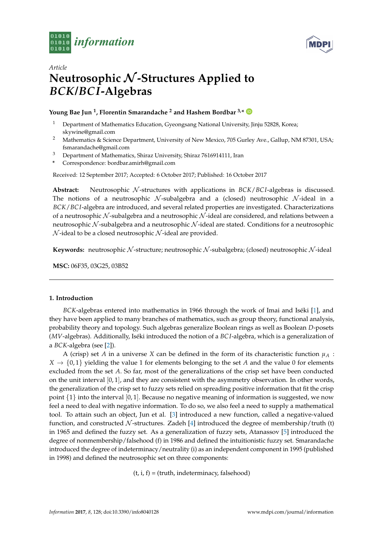



# *Article* **Neutrosophic** N **-Structures Applied to** *BCK***/***BCI***-Algebras**

## **Young Bae Jun <sup>1</sup> , Florentin Smarandache <sup>2</sup> and Hashem Bordbar 3,\***

- <sup>1</sup> Department of Mathematics Education, Gyeongsang National University, Jinju 52828, Korea; skywine@gmail.com
- <sup>2</sup> Mathematics & Science Department, University of New Mexico, 705 Gurley Ave., Gallup, NM 87301, USA; fsmarandache@gmail.com
- <sup>3</sup> Department of Mathematics, Shiraz University, Shiraz 7616914111, Iran
- **\*** Correspondence: bordbar.amirh@gmail.com

Received: 12 September 2017; Accepted: 6 October 2017; Published: 16 October 2017

Abstract: Neutrosophic N-structures with applications in *BCK/BCI*-algebras is discussed. The notions of a neutrosophic  $N$ -subalgebra and a (closed) neutrosophic  $N$ -ideal in a *BCK*/*BC I*-algebra are introduced, and several related properties are investigated. Characterizations of a neutrosophic  $N$ -subalgebra and a neutrosophic  $N$ -ideal are considered, and relations between a neutrosophic  $N$ -subalgebra and a neutrosophic  $N$ -ideal are stated. Conditions for a neutrosophic  $N$ -ideal to be a closed neutrosophic  $N$ -ideal are provided.

**Keywords:** neutrosophic N-structure; neutrosophic N-subalgebra; (closed) neutrosophic N-ideal

**MSC:** 06F35, 03G25, 03B52

### **1. Introduction**

*BCK*-algebras entered into mathematics in 1966 through the work of Imai and Iséki [\[1\]](#page-10-0), and they have been applied to many branches of mathematics, such as group theory, functional analysis, probability theory and topology. Such algebras generalize Boolean rings as well as Boolean *D*-posets (*MV*-algebras). Additionally, Iséki introduced the notion of a *BC I*-algebra, which is a generalization of a *BCK*-algebra (see [\[2\]](#page-10-1)).

A (crisp) set *A* in a universe *X* can be defined in the form of its characteristic function  $\mu_A$  :  $X \rightarrow \{0,1\}$  yielding the value 1 for elements belonging to the set *A* and the value 0 for elements excluded from the set *A*. So far, most of the generalizations of the crisp set have been conducted on the unit interval  $[0, 1]$ , and they are consistent with the asymmetry observation. In other words, the generalization of the crisp set to fuzzy sets relied on spreading positive information that fit the crisp point  $\{1\}$  into the interval [0, 1]. Because no negative meaning of information is suggested, we now feel a need to deal with negative information. To do so, we also feel a need to supply a mathematical tool. To attain such an object, Jun et al. [\[3\]](#page-10-2) introduced a new function, called a negative-valued function, and constructed  $\mathcal N$ -structures. Zadeh [\[4\]](#page-10-3) introduced the degree of membership/truth (t) in 1965 and defined the fuzzy set. As a generalization of fuzzy sets, Atanassov [\[5\]](#page-11-0) introduced the degree of nonmembership/falsehood (f) in 1986 and defined the intuitionistic fuzzy set. Smarandache introduced the degree of indeterminacy/neutrality (i) as an independent component in 1995 (published in 1998) and defined the neutrosophic set on three components:

 $(t, i, f) = (truth, indeterminacy, falsehood)$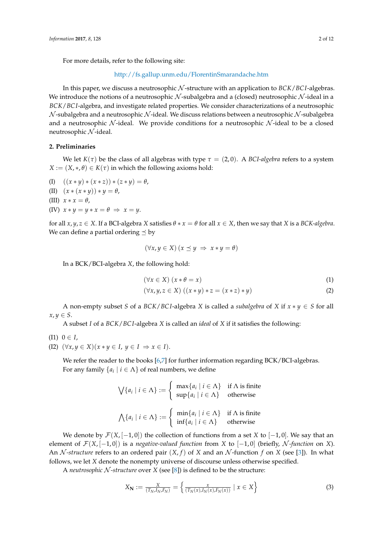For more details, refer to the following site:

<http://fs.gallup.unm.edu/FlorentinSmarandache.htm>

In this paper, we discuss a neutrosophic N -structure with an application to *BCK*/*BC I*-algebras. We introduce the notions of a neutrosophic  $N$ -subalgebra and a (closed) neutrosophic  $N$ -ideal in a *BCK*/*BC I*-algebra, and investigate related properties. We consider characterizations of a neutrosophic  $\mathcal N$ -subalgebra and a neutrosophic  $\mathcal N$ -ideal. We discuss relations between a neutrosophic  $\mathcal N$ -subalgebra and a neutrosophic  $N$ -ideal. We provide conditions for a neutrosophic  $N$ -ideal to be a closed neutrosophic  $N$ -ideal.

### **2. Preliminaries**

We let  $K(\tau)$  be the class of all algebras with type  $\tau = (2,0)$ . A BCI-algebra refers to a system  $X := (X, *, \theta) \in K(\tau)$  in which the following axioms hold:

- (I)  $((x * y) * (x * z)) * (z * y) = \theta$ ,
- (II)  $(x * (x * y)) * y = \theta$ ,
- (III)  $x * x = \theta$ ,
- (IV)  $x * y = y * x = \theta \Rightarrow x = y$ .

for all  $x, y, z \in X$ . If a BCI-algebra *X* satisfies  $\theta * x = \theta$  for all  $x \in X$ , then we say that *X* is a *BCK-algebra*. We can define a partial ordering  $\leq$  by

$$
(\forall x, y \in X) (x \preceq y \implies x * y = \theta)
$$

In a BCK/BCI-algebra *X*, the following hold:

<span id="page-1-0"></span>
$$
(\forall x \in X) (x * \theta = x)
$$
 (1)

$$
(\forall x, y, z \in X) ((x * y) * z = (x * z) * y)
$$
\n
$$
(2)
$$

A non-empty subset *S* of a *BCK/BCI*-algebra *X* is called a *subalgebra* of *X* if  $x * y \in S$  for all  $x, y \in S$ .

A subset *I* of a *BCK*/*BC I*-algebra *X* is called an *ideal* of *X* if it satisfies the following:

- $(11)$   $0 \in I$ ,
- (I2)  $(\forall x, y \in X)(x * y \in I, y \in I \Rightarrow x \in I).$

We refer the reader to the books [\[6,](#page-11-1)[7\]](#page-11-2) for further information regarding BCK/BCI-algebras. For any family  $\{a_i \mid i \in \Lambda\}$  of real numbers, we define

$$
\bigvee \{a_i \mid i \in \Lambda\} := \begin{cases} \max\{a_i \mid i \in \Lambda\} & \text{if } \Lambda \text{ is finite} \\ \sup\{a_i \mid i \in \Lambda\} & \text{otherwise} \end{cases}
$$

$$
\bigwedge \{a_i \mid i \in \Lambda\} := \begin{cases} \min\{a_i \mid i \in \Lambda\} & \text{if } \Lambda \text{ is finite} \\ \inf\{a_i \mid i \in \Lambda\} & \text{otherwise} \end{cases}
$$

We denote by  $\mathcal{F}(X, [-1, 0])$  the collection of functions from a set X to  $[-1, 0]$ . We say that an element of  $\mathcal{F}(X, [-1, 0])$  is a *negative-valued function* from *X* to  $[-1, 0]$  (briefly, N-function on *X*). An *N*-structure refers to an ordered pair  $(X, f)$  of *X* and an *N*-function *f* on *X* (see [\[3\]](#page-10-2)). In what follows, we let *X* denote the nonempty universe of discourse unless otherwise specified.

A *neutrosophic* N *-structure* over *X* (see [\[8\]](#page-11-3)) is defined to be the structure:

$$
X_{\mathbf{N}} := \frac{X}{(T_N, I_N, F_N)} = \left\{ \frac{x}{(T_N(x), I_N(x), F_N(x))} \mid x \in X \right\}
$$
(3)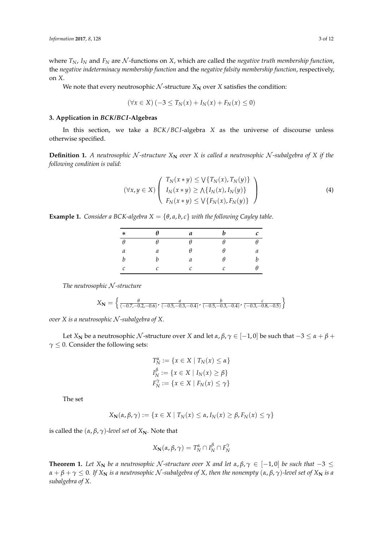where  $T_N$ ,  $I_N$  and  $F_N$  are  $N$ -functions on  $X$ , which are called the *negative truth membership function*, the *negative indeterminacy membership function* and the *negative falsity membership function*, respectively, on *X*.

We note that every neutrosophic  $N$ -structure  $X_N$  over  $X$  satisfies the condition:

$$
(\forall x \in X) (-3 \leq T_N(x) + I_N(x) + F_N(x) \leq 0)
$$

#### **3. Application in** *BCK***/***BCI***-Algebras**

In this section, we take a *BCK*/*BC I*-algebra *X* as the universe of discourse unless otherwise specified.

**Definition 1.** A neutrosophic N-structure  $X_N$  over  $X$  is called a neutrosophic N-subalgebra of  $X$  if the *following condition is valid:*

<span id="page-2-0"></span>
$$
(\forall x, y \in X) \left( \begin{array}{c} T_N(x * y) \leq \sqrt{T_N(x), T_N(y)} \\ I_N(x * y) \geq \sqrt{T_N(x), I_N(y)} \\ F_N(x * y) \leq \sqrt{T_N(x), F_N(y)} \end{array} \right) \tag{4}
$$

<span id="page-2-1"></span>**Example 1.** *Consider a BCK-algebra*  $X = \{\theta, a, b, c\}$  *with the following Cayley table.* 

| $\ast$           | $\theta$ | a | h | с |
|------------------|----------|---|---|---|
| $\theta$         | $\theta$ | θ | θ | θ |
| а                | а        | θ | θ | а |
| $\boldsymbol{b}$ | h        | а | θ | b |
| C                | C        | C | С | Ĥ |

*The neutrosophic* N *-structure*

$$
X_{\mathbf{N}} = \left\{ \frac{\theta}{(-0.7, -0.2, -0.6)}, \frac{a}{(-0.5, -0.3, -0.4)}, \frac{b}{(-0.5, -0.3, -0.4)}, \frac{c}{(-0.3, -0.8, -0.5)} \right\}
$$

*over X is a neutrosophic* N *-subalgebra of X.*

Let *X***N** be a neutrosophic N-structure over *X* and let  $\alpha$ ,  $\beta$ ,  $\gamma \in [-1, 0]$  be such that  $-3 \le \alpha + \beta +$  $\gamma \leq 0$ . Consider the following sets:

$$
T_N^{\alpha} := \{ x \in X \mid T_N(x) \le \alpha \}
$$
  

$$
I_N^{\beta} := \{ x \in X \mid I_N(x) \ge \beta \}
$$
  

$$
F_N^{\gamma} := \{ x \in X \mid F_N(x) \le \gamma \}
$$

The set

$$
X_{\mathbf{N}}(\alpha, \beta, \gamma) := \{x \in X \mid T_{N}(x) \leq \alpha, I_{N}(x) \geq \beta, F_{N}(x) \leq \gamma\}
$$

is called the  $(α, β, γ)$ *-level set* of  $X_N$ . Note that

$$
X_{\mathbf{N}}(\alpha, \beta, \gamma) = T_{N}^{\alpha} \cap I_{N}^{\beta} \cap F_{N}^{\gamma}
$$

**Theorem 1.** Let  $X_N$  be a neutrosophic N-structure over X and let  $\alpha, \beta, \gamma \in [-1, 0]$  be such that  $-3 \leq$  $\alpha + \beta + \gamma \leq 0$ . If  $X_N$  is a neutrosophic N-subalgebra of X, then the nonempty  $(\alpha, \beta, \gamma)$ -level set of  $X_N$  is a *subalgebra of X.*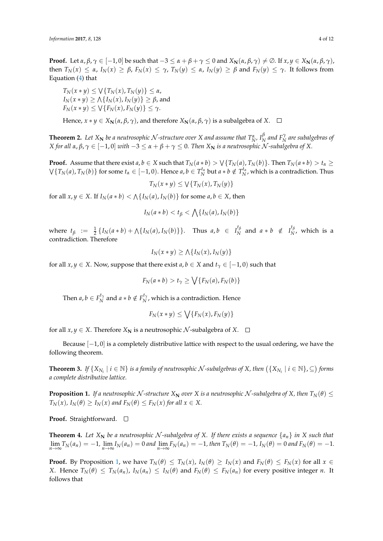**Proof.** Let  $\alpha, \beta, \gamma \in [-1, 0]$  be such that  $-3 \le \alpha + \beta + \gamma \le 0$  and  $X_N(\alpha, \beta, \gamma) \ne \emptyset$ . If  $x, y \in X_N(\alpha, \beta, \gamma)$ , then  $T_N(x) \le \alpha$ ,  $I_N(x) \ge \beta$ ,  $F_N(x) \le \gamma$ ,  $T_N(y) \le \alpha$ ,  $I_N(y) \ge \beta$  and  $F_N(y) \le \gamma$ . It follows from Equation [\(4\)](#page-2-0) that

 $T_N(x * y) \leq \sqrt{T_N(x)}, T_N(y) \leq \alpha$ ,  $I_N(x * y) \ge \bigwedge \{I_N(x), I_N(y)\} \ge \beta$ , and  $F_N(x * y) \le \sqrt{F_N(x), F_N(y)} \le \gamma$ .

Hence,  $x * y \in X_{\mathbb{N}}(\alpha, \beta, \gamma)$ , and therefore  $X_{\mathbb{N}}(\alpha, \beta, \gamma)$  is a subalgebra of  $X$ .  $\Box$ 

**Theorem 2.** Let  $X_N$  be a neutrosophic  $\mathcal N$ -structure over  $X$  and assume that  $T_{N'}^{\alpha}$ ,  $I_N^{\beta}$  $\frac{\beta}{N}$  and  $F_N^{\gamma}$  are subalgebras of *X* for all α, β,  $γ ∈ [-1, 0]$  *with*  $-3 ≤ α + β + γ ≤ 0$ . Then  $X_N$  *is a neutrosophic* N-subalgebra of X.

**Proof.** Assume that there exist  $a, b \in X$  such that  $T_N(a * b) > \sqrt{\{T_N(a), T_N(b)\}}$ . Then  $T_N(a * b) > t_{\alpha} \ge$  $\forall \{T_N(a), T_N(b)\}$  for some  $t_\alpha \in [-1,0)$ . Hence  $a, b \in T_N^{t_\alpha}$  but  $a * b \notin T_N^{t_\alpha}$ , which is a contradiction. Thus

$$
T_N(x*y)\leq \bigvee\{T_N(x),T_N(y)\}
$$

for all  $x, y \in X$ . If  $I_N(a * b) < \Lambda \{I_N(a), I_N(b)\}$  for some  $a, b \in X$ , then

$$
I_N(a * b) < t_\beta < \bigwedge \{I_N(a), I_N(b)\}
$$

where  $t_{\beta} := \frac{1}{2} \{ I_N(a * b) + \Lambda \{ I_N(a), I_N(b) \} \}.$  Thus  $a, b \in I_N^{t_{\beta}}$  $N^t \beta$  and  $a * b \notin I_N^{t \beta}$  $N$ , which is a contradiction. Therefore

$$
I_N(x * y) \ge \Lambda \{ I_N(x), I_N(y) \}
$$

for all *x*, *y*  $\in$  *X*. Now, suppose that there exist *a*, *b*  $\in$  *X* and *t*<sub>*γ*</sub>  $\in$  [−1, 0) such that

$$
F_N(a * b) > t_\gamma \ge \bigvee \{F_N(a), F_N(b)\}
$$

Then  $a, b \in F_N^{t_{\gamma}}$  $N_R^{t_\gamma}$  and  $a * b \notin F_N^{t_\gamma}$  $N$ , which is a contradiction. Hence

$$
F_N(x*y)\leq \bigvee \{F_N(x), F_N(y)\}
$$

for all  $x, y \in X$ . Therefore  $X_N$  is a neutrosophic  $N$ -subalgebra of  $X$ .  $\Box$ 

Because  $[-1, 0]$  is a completely distributive lattice with respect to the usual ordering, we have the following theorem.

**Theorem 3.** If  $\{X_{N_i} \mid i \in \mathbb{N}\}$  is a family of neutrosophic  $N$ -subalgebras of  $X$ , then  $(\{X_{N_i} \mid i \in \mathbb{N}\}, \subseteq)$  forms *a complete distributive lattice.*

<span id="page-3-0"></span>**Proposition 1.** *If a neutrosophic*  $N$ -structure  $X_N$  *over*  $X$  *is a neutrosophic*  $N$ -subalgebra of  $X$ *, then*  $T_N(\theta) \leq$  $T_N(x)$ ,  $I_N(\theta) \geq I_N(x)$  and  $F_N(\theta) \leq F_N(x)$  for all  $x \in X$ .

**Proof.** Straightforward. □

**Theorem 4.** Let  $X_N$  be a neutrosophic N-subalgebra of X. If there exists a sequence  $\{a_n\}$  in X such that  $\lim_{n\to\infty}T_N(a_n)=-1$ ,  $\lim_{n\to\infty}I_N(a_n)=0$  and  $\lim_{n\to\infty}F_N(a_n)=-1$ , then  $T_N(\theta)=-1$ ,  $I_N(\theta)=0$  and  $F_N(\theta)=-1$ .

**Proof.** By Proposition [1,](#page-3-0) we have  $T_N(\theta) \leq T_N(x)$ ,  $I_N(\theta) \geq I_N(x)$  and  $F_N(\theta) \leq F_N(x)$  for all  $x \in$ X. Hence  $T_N(\theta) \leq T_N(a_n)$ ,  $I_N(a_n) \leq I_N(\theta)$  and  $F_N(\theta) \leq F_N(a_n)$  for every positive integer *n*. It follows that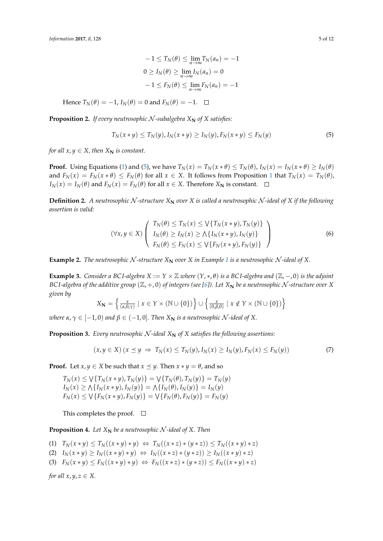$$
-1 \le T_N(\theta) \le \lim_{n \to \infty} T_N(a_n) = -1
$$
  
 
$$
0 \ge I_N(\theta) \ge \lim_{n \to \infty} I_N(a_n) = 0
$$
  
 
$$
-1 \le F_N(\theta) \le \lim_{n \to \infty} F_N(a_n) = -1
$$

Hence  $T_N(\theta) = -1$ ,  $I_N(\theta) = 0$  and  $F_N(\theta) = -1$ .  $\Box$ 

**Proposition 2.** *If every neutrosophic*  $N$ -subalgebra  $X_N$  of  $X$  satisfies:

<span id="page-4-0"></span>
$$
T_N(x * y) \le T_N(y), I_N(x * y) \ge I_N(y), F_N(x * y) \le F_N(y)
$$
\n(5)

*for all*  $x, y \in X$ *, then*  $X_N$  *is constant.* 

**Proof.** Using Equations [\(1\)](#page-1-0) and [\(5\)](#page-4-0), we have  $T_N(x) = T_N(x * \theta) \le T_N(\theta)$ ,  $I_N(x) = I_N(x * \theta) \ge I_N(\theta)$ and  $F_N(x) = F_N(x * \theta) \leq F_N(\theta)$  for all  $x \in X$ . It follows from Proposition [1](#page-3-0) that  $T_N(x) = T_N(\theta)$ , *I*<sup>N</sup>(*x*) = *I*<sup>N</sup>(*θ*) and *F*<sup>N</sup>(*x*) = *F*<sup>N</sup>(*θ*) for all *x* ∈ *X*. Therefore *X*<sup>N</sup>**N** is constant.  $\Box$ 

**Definition 2.** A neutrosophic N-structure  $X_N$  over X is called a neutrosophic N-ideal of X if the following *assertion is valid:*

<span id="page-4-2"></span>
$$
(\forall x, y \in X) \left( \begin{array}{c} T_N(\theta) \le T_N(x) \le \sqrt{T_N(x \ast y)}, T_N(y) \\ I_N(\theta) \ge I_N(x) \ge \sqrt{T_N(x \ast y)}, I_N(y) \\ F_N(\theta) \le F_N(x) \le \sqrt{T_N(x \ast y)}, F_N(y) \end{array} \right) \tag{6}
$$

**Example 2.** *The neutrosophic*  $N$ -structure  $X_N$  *over*  $X$  *in Example* [1](#page-2-1) *is a neutrosophic*  $N$ -ideal of  $X$ .

<span id="page-4-3"></span>**Example 3.** *Consider a BCI-algebra*  $X := Y \times \mathbb{Z}$  *where*  $(Y, *, \theta)$  *is a BCI-algebra and*  $(\mathbb{Z}, -, 0)$  *is the adjoint BCI-algebra of the additive group*  $(\mathbb{Z}, +, 0)$  *of integers (see [\[6\]](#page-11-1)). Let*  $X_N$  *be a neutrosophic*  $N$ -structure over  $X$ *given by*

$$
X_{\mathbf{N}} = \left\{ \frac{x}{(\alpha,0,\gamma)} \mid x \in Y \times (\mathbb{N} \cup \{0\}) \right\} \cup \left\{ \frac{x}{(0,\beta,0)} \mid x \notin Y \times (\mathbb{N} \cup \{0\}) \right\}
$$

*where*  $\alpha, \gamma \in [-1, 0)$  *and*  $\beta \in (-1, 0]$ *. Then*  $X_N$  *is a neutrosophic*  $\mathcal{N}$ *-ideal of*  $X$ *.* 

<span id="page-4-1"></span>**Proposition 3.** *Every neutrosophic*  $N$ -ideal  $X_N$  of  $X$  *satisfies the following assertions:* 

$$
(x, y \in X) (x \preceq y \Rightarrow T_N(x) \le T_N(y), I_N(x) \ge I_N(y), F_N(x) \le F_N(y))
$$
\n
$$
(7)
$$

**Proof.** Let *x*, *y*  $\in$  *X* be such that *x*  $\preceq$  *y*. Then *x*  $*$  *y* = *θ*, and so

$$
T_N(x) \le \sqrt{T_N(x * y)}, T_N(y) = \sqrt{T_N(\theta)}, T_N(y) = T_N(y)
$$
  
\n
$$
I_N(x) \ge \Lambda \{ I_N(x * y), I_N(y) \} = \Lambda \{ I_N(\theta), I_N(y) \} = I_N(y)
$$
  
\n
$$
F_N(x) \le \sqrt{T_N(x * y)}, F_N(y) = \sqrt{T_N(\theta)}, F_N(y) = F_N(y)
$$

This completes the proof.  $\square$ 

**Proposition 4.** Let  $X_N$  be a neutrosophic N-ideal of X. Then

$$
(1) T_N(x*y) \leq T_N((x*y)*y) \Leftrightarrow T_N((x*z)*(y*z)) \leq T_N((x*y)*z)
$$

- $I_N(x * y) \geq I_N((x * y) * y) \Leftrightarrow I_N((x * z) * (y * z)) \geq I_N((x * y) * z)$
- (3)  $F_N(x * y) \leq F_N((x * y) * y) \Leftrightarrow F_N((x * z) * (y * z)) \leq F_N((x * y) * z)$

*for all*  $x, y, z \in X$ *.*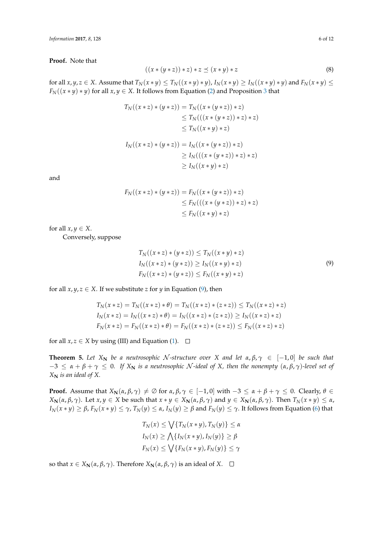**Proof.** Note that

$$
((x*(y*z))*z)*z \preceq (x*y)*z \tag{8}
$$

for all  $x, y, z \in X$ . Assume that  $T_N(x * y) \le T_N((x * y) * y)$ ,  $I_N(x * y) \ge I_N((x * y) * y)$  and  $F_N(x * y) \le$  $F_N((x * y) * y)$  for all  $x, y \in X$ . It follows from Equation [\(2\)](#page-1-0) and Proposition [3](#page-4-1) that

$$
T_N((x * z) * (y * z)) = T_N((x * (y * z)) * z)
$$
  
\n
$$
\leq T_N(((x * (y * z)) * z) * z)
$$
  
\n
$$
\leq T_N((x * y) * z)
$$
  
\n
$$
I_N((x * z) * (y * z)) = I_N((x * (y * z)) * z)
$$
  
\n
$$
\geq I_N(((x * (y * z)) * z) * z)
$$
  
\n
$$
\geq I_N((x * y) * z)
$$

and

$$
F_N((x * z) * (y * z)) = F_N((x * (y * z)) * z)
$$
  
\n
$$
\leq F_N(((x * (y * z)) * z) * z)
$$
  
\n
$$
\leq F_N((x * y) * z)
$$

for all  $x, y \in X$ .

<span id="page-5-0"></span>Conversely, suppose

$$
T_N((x * z) * (y * z)) \le T_N((x * y) * z)
$$
  
\n
$$
I_N((x * z) * (y * z)) \ge I_N((x * y) * z)
$$
  
\n
$$
F_N((x * z) * (y * z)) \le F_N((x * y) * z)
$$
\n(9)

for all  $x, y, z \in X$ . If we substitute *z* for *y* in Equation [\(9\)](#page-5-0), then

$$
T_N(x * z) = T_N((x * z) * \theta) = T_N((x * z) * (z * z)) \le T_N((x * z) * z)
$$
  
\n
$$
I_N(x * z) = I_N((x * z) * \theta) = I_N((x * z) * (z * z)) \ge I_N((x * z) * z)
$$
  
\n
$$
F_N(x * z) = F_N((x * z) * \theta) = F_N((x * z) * (z * z)) \le F_N((x * z) * z)
$$

for all  $x, z \in X$  by using (III) and Equation [\(1\)](#page-1-0).  $\Box$ 

**Theorem 5.** Let  $X_N$  be a neutrosophic N-structure over X and let  $\alpha, \beta, \gamma \in [-1, 0]$  be such that  $-3 \le \alpha + \beta + \gamma \le 0$ . If  $X_N$  is a neutrosophic N-ideal of X, then the nonempty  $(\alpha, \beta, \gamma)$ -level set of *X***<sup>N</sup>** *is an ideal of X.*

**Proof.** Assume that  $X_N(\alpha, \beta, \gamma) \neq \emptyset$  for  $\alpha, \beta, \gamma \in [-1, 0]$  with  $-3 \leq \alpha + \beta + \gamma \leq 0$ . Clearly,  $\theta \in$  $X_N(\alpha,\beta,\gamma)$ . Let  $x,y \in X$  be such that  $x * y \in X_N(\alpha,\beta,\gamma)$  and  $y \in X_N(\alpha,\beta,\gamma)$ . Then  $T_N(x * y) \leq \alpha$ ,  $I_N(x*y) \ge \beta$ ,  $F_N(x*y) \le \gamma$ ,  $T_N(y) \le \alpha$ ,  $I_N(y) \ge \beta$  and  $F_N(y) \le \gamma$ . It follows from Equation [\(6\)](#page-4-2) that

$$
T_N(x) \le \bigvee \{ T_N(x * y), T_N(y) \} \le \alpha
$$
  
\n
$$
I_N(x) \ge \bigwedge \{ I_N(x * y), I_N(y) \} \ge \beta
$$
  
\n
$$
F_N(x) \le \bigvee \{ F_N(x * y), F_N(y) \} \le \gamma
$$

so that *x* ∈ *X***N**(*α*, *β*, *γ*). Therefore *X***N**(*α*, *β*, *γ*) is an ideal of *X*.  $\Box$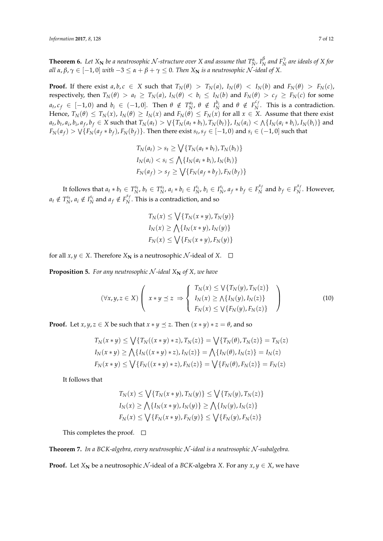**Theorem 6.** Let  $X_N$  be a neutrosophic  $\mathcal N$ -structure over  $X$  and assume that  $T_{N'}^{\alpha}$ ,  $I_N^{\beta}$  $N \overline{P}_N^{\gamma}$  are ideals of  $X$  for *all*  $\alpha, \beta, \gamma \in [-1, 0]$  *with*  $-3 \leq \alpha + \beta + \gamma \leq 0$ . Then  $X_N$  *is a neutrosophic*  $\mathcal N$ -ideal of X.

**Proof.** If there exist  $a, b, c \in X$  such that  $T_N(\theta) > T_N(a)$ ,  $I_N(\theta) < I_N(b)$  and  $F_N(\theta) > F_N(c)$ , respectively, then  $T_N(\theta) > a_t \geq T_N(a)$ ,  $I_N(\theta) < b_i \leq I_N(b)$  and  $F_N(\theta) > c_f \geq F_N(c)$  for some  $a_t$ ,  $c_f$   $\in$   $[-1, 0)$  and  $b_i$   $\in$   $(-1, 0]$ . Then  $\theta \notin T_N^{a_t}$ ,  $\theta \notin I_N^{b_i}$  and  $\theta \notin T_N^{c_f}$  $N<sub>N</sub>$ . This is a contradiction. Hence,  $T_N(\theta) \le T_N(x)$ ,  $I_N(\theta) \ge I_N(x)$  and  $F_N(\theta) \le F_N(x)$  for all  $x \in X$ . Assume that there exist  $a_t$ ,  $b_t$ ,  $a_i$ ,  $b_i$ ,  $a_f$ ,  $b_f\in X$  such that  $T_N(a_t)> \vee\{T_N(a_t*b_t),T_N(b_t)\}$ ,  $I_N(a_i)<\wedge\{I_N(a_i*b_i),I_N(b_i)\}$  and  $F_N(a_f) > \sqrt{\{F_N(a_f * b_f), F_N(b_f)\}}$ . Then there exist  $s_t, s_f \in [-1,0)$  and  $s_i \in (-1,0]$  such that

$$
T_N(a_t) > s_t \ge \bigvee \{ T_N(a_t * b_t), T_N(b_t) \}
$$
  
\n
$$
I_N(a_i) < s_i \le \bigwedge \{ I_N(a_i * b_i), I_N(b_i) \}
$$
  
\n
$$
F_N(a_f) > s_f \ge \bigvee \{ F_N(a_f * b_f), F_N(b_f) \}
$$

It follows that  $a_t * b_t \in T_N^{s_t}, b_t \in T_N^{s_t}, a_i * b_i \in I_N^{s_i}, b_i \in I_N^{s_i}, a_f * b_f \in F_N^{s_j}$  $b_f$ <sup>*S<sub>f</sub>*</sup> and  $b_f$   $\in$   $F_N^{s_f}$  $N^{\prime}$ . However,  $a_t \notin T_N^{s_t}, a_i \notin I_N^{s_i}$  and  $a_f \notin F_N^{s_f}$  $N<sub>N</sub>$ . This is a contradiction, and so

<span id="page-6-1"></span>
$$
T_N(x) \le \bigvee \{ T_N(x * y), T_N(y) \}
$$
  
\n
$$
I_N(x) \ge \bigwedge \{ I_N(x * y), I_N(y) \}
$$
  
\n
$$
F_N(x) \le \bigvee \{ F_N(x * y), F_N(y) \}
$$

for all  $x, y \in X$ . Therefore  $X_N$  is a neutrosophic  $\mathcal{N}$ -ideal of  $X$ .  $\Box$ 

**Proposition 5.** For any neutrosophic N-ideal  $X_N$  of X, we have

$$
(\forall x, y, z \in X) \left( x \ast y \preceq z \Rightarrow \begin{cases} T_N(x) \leq \sqrt{T_N(y)}, T_N(z) \\ I_N(x) \geq \sqrt{T_N(y)}, I_N(z) \\ F_N(x) \leq \sqrt{T_N(y)}, F_N(z) \end{cases} \right) \tag{10}
$$

**Proof.** Let *x*, *y*, *z*  $\in$  *X* be such that *x*  $*$  *y*  $\preceq$  *z*. Then  $(x * y) * z = \theta$ , and so

$$
T_N(x * y) \le \bigvee \{ T_N((x * y) * z), T_N(z) \} = \bigvee \{ T_N(\theta), T_N(z) \} = T_N(z)
$$
  
\n
$$
I_N(x * y) \ge \bigwedge \{ I_N((x * y) * z), I_N(z) \} = \bigwedge \{ I_N(\theta), I_N(z) \} = I_N(z)
$$
  
\n
$$
F_N(x * y) \le \bigvee \{ F_N((x * y) * z), F_N(z) \} = \bigvee \{ F_N(\theta), F_N(z) \} = F_N(z)
$$

It follows that

$$
T_N(x) \le \bigvee \{T_N(x*y), T_N(y)\} \le \bigvee \{T_N(y), T_N(z)\}
$$
  
\n
$$
I_N(x) \ge \bigwedge \{I_N(x*y), I_N(y)\} \ge \bigwedge \{I_N(y), I_N(z)\}
$$
  
\n
$$
F_N(x) \le \bigvee \{F_N(x*y), F_N(y)\} \le \bigvee \{F_N(y), F_N(z)\}
$$

This completes the proof.  $\square$ 

<span id="page-6-0"></span>**Theorem 7.** *In a BCK-algebra, every neutrosophic* N *-ideal is a neutrosophic* N *-subalgebra.*

**Proof.** Let  $X_N$  be a neutrosophic  $N$ -ideal of a *BCK*-algebra *X*. For any  $x, y \in X$ , we have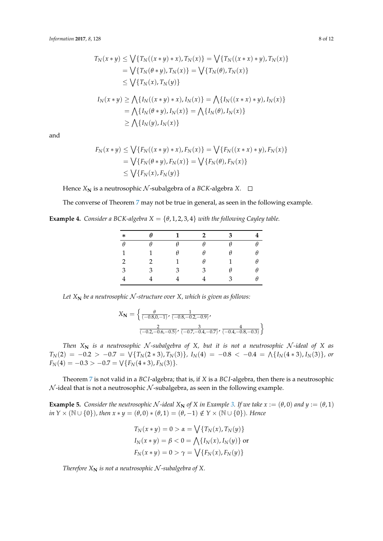$$
T_N(x * y) \le \bigvee \{ T_N((x * y) * x), T_N(x) \} = \bigvee \{ T_N((x * x) * y), T_N(x) \}
$$
  
\n
$$
= \bigvee \{ T_N(\theta * y), T_N(x) \} = \bigvee \{ T_N(\theta), T_N(x) \}
$$
  
\n
$$
\le \bigvee \{ T_N(x), T_N(y) \}
$$
  
\n
$$
I_N(x * y) \ge \bigwedge \{ I_N((x * y) * x), I_N(x) \} = \bigwedge \{ I_N((x * x) * y), I_N(x) \}
$$
  
\n
$$
= \bigwedge \{ I_N(\theta * y), I_N(x) \} = \bigwedge \{ I_N(\theta), I_N(x) \}
$$
  
\n
$$
\ge \bigwedge \{ I_N(y), I_N(x) \}
$$

and

$$
F_N(x * y) \le \bigvee \{ F_N((x * y) * x), F_N(x) \} = \bigvee \{ F_N((x * x) * y), F_N(x) \}
$$
  
=  $\bigvee \{ F_N(\theta * y), F_N(x) \} = \bigvee \{ F_N(\theta), F_N(x) \}$   
 $\le \bigvee \{ F_N(x), F_N(y) \}$ 

Hence  $X_N$  is a neutrosophic  $N$ -subalgebra of a *BCK*-algebra  $X$ .  $\square$ 

The converse of Theorem [7](#page-6-0) may not be true in general, as seen in the following example.

**Example 4.** *Consider a BCK-algebra*  $X = \{\theta, 1, 2, 3, 4\}$  *with the following Cayley table.* 

| $\ast$ | A | 1 | $\mathcal{P}$ | З |  |
|--------|---|---|---------------|---|--|
| θ      |   |   |               |   |  |
| 1      |   | Ĥ |               |   |  |
| 2      |   |   | θ             |   |  |
| 3      | ٦ | З | З             |   |  |
|        |   |   |               | 2 |  |

Let  $X_N$  be a neutrosophic  $N$ -structure over  $X$ , which is given as follows:

$$
X_{\mathbf{N}} = \left\{ \frac{\theta}{(-0.8, 0.7)} \cdot \frac{1}{(-0.8, -0.2, -0.9)}, \frac{2}{(-0.2, -0.6, -0.5)} \cdot \frac{3}{(-0.7, -0.4, -0.7)} \cdot \frac{4}{(-0.4, -0.8, -0.3)} \right\}
$$

*Then*  $X_N$  *is a neutrosophic*  $N$ -subalgebra of  $X$ , but it is not a neutrosophic  $N$ -ideal of  $X$  as  $T_N(2) = -0.2 > -0.7 = \sqrt{T_N(2*3)}, T_N(3)$ },  $I_N(4) = -0.8 < -0.4 = \sqrt{T_N(4*3)}, I_N(3)$ }, or  $F_N(4) = -0.3 > -0.7 = \sqrt{F_N(4*3), F_N(3)}.$ 

Theorem [7](#page-6-0) is not valid in a *BC I*-algebra; that is, if *X* is a *BC I*-algebra, then there is a neutrosophic  $N$ -ideal that is not a neutrosophic  $N$ -subalgebra, as seen in the following example.

**Example 5.** Consider the neutrosophic N-ideal  $X_N$  of X in Example [3.](#page-4-3) If we take  $x := (\theta, 0)$  and  $y := (\theta, 1)$ *in*  $Y \times (\mathbb{N} \cup \{0\})$ *, then*  $x * y = (\theta, 0) * (\theta, 1) = (\theta, -1) \notin Y \times (\mathbb{N} \cup \{0\})$ *. Hence* 

$$
T_N(x * y) = 0 > \alpha = \sqrt{\{T_N(x), T_N(y)\}}
$$
  
\n
$$
I_N(x * y) = \beta < 0 = \bigwedge \{I_N(x), I_N(y)\}
$$
 or  
\n
$$
F_N(x * y) = 0 > \gamma = \sqrt{\{F_N(x), F_N(y)\}}
$$

*Therefore*  $X_N$  *is not a neutrosophic*  $N$ -subalgebra of  $X$ *.*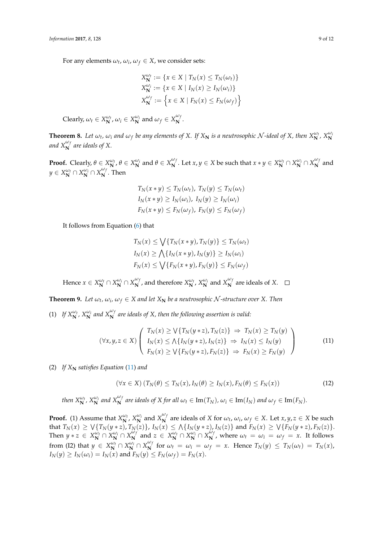For any elements  $\omega_t$ ,  $\omega_i$ ,  $\omega_f \in X$ , we consider sets:

$$
X_{\mathbf{N}}^{\omega_t} := \{ x \in X \mid T_N(x) \le T_N(\omega_t) \}
$$
  
\n
$$
X_{\mathbf{N}}^{\omega_t} := \{ x \in X \mid I_N(x) \ge I_N(\omega_t) \}
$$
  
\n
$$
X_{\mathbf{N}}^{\omega_f} := \{ x \in X \mid F_N(x) \le F_N(\omega_f) \}
$$

 $\text{Clearly, } \omega_t \in X_N^{\omega_t}, \omega_i \in X_N^{\omega_i} \text{ and } \omega_f \in X_N^{\omega_f}$  $\mathbf{N}^{\prime}$ .

**Theorem 8.** Let  $\omega_t$ ,  $\omega_i$  and  $\omega_f$  be any elements of X. If  $X_N$  is a neutrosophic  $\cal N$ -ideal of X, then  $X_N^{\omega_t}$ ,  $X_N^{\omega_t}$ and  $X_{\mathbf{N}}^{\omega_f}$  are ideals of X.

**Proof.** Clearly,  $\theta \in X_N^{\omega_t}$ ,  $\theta \in X_N^{\omega_i}$  and  $\theta \in X_N^{\omega_j}$  $\omega_f$ . Let  $x, y \in X$  be such that  $x * y \in X_N^{\omega_t} \cap X_N^{\omega_i} \cap X_N^{\omega_j}$  $\mathbf{N}^{\prime}$  and  $y \in X_N^{\omega_t} \cap X_N^{\omega_i} \cap X_N^{\omega_j}$  $\mathbf{N}^{\prime}$ . Then

$$
T_N(x * y) \le T_N(\omega_t), T_N(y) \le T_N(\omega_t)
$$
  
\n
$$
I_N(x * y) \ge I_N(\omega_i), I_N(y) \ge I_N(\omega_i)
$$
  
\n
$$
F_N(x * y) \le F_N(\omega_f), F_N(y) \le F_N(\omega_f)
$$

It follows from Equation [\(6\)](#page-4-2) that

<span id="page-8-0"></span>
$$
T_N(x) \le \bigvee \{T_N(x * y), T_N(y)\} \le T_N(\omega_t)
$$
  
\n
$$
I_N(x) \ge \bigwedge \{I_N(x * y), I_N(y)\} \ge I_N(\omega_i)
$$
  
\n
$$
F_N(x) \le \bigvee \{F_N(x * y), F_N(y)\} \le F_N(\omega_f)
$$

Hence  $x \in X_N^{\omega_t} \cap X_N^{\omega_i} \cap X_N^{\omega_j}$  $\frac{\omega_f}{N}$ , and therefore  $X_N^{\omega_t}$ ,  $X_N^{\omega_i}$  and  $X_N^{\omega_f}$  $\sum_{N}^{T}$  are ideals of *X*.

**Theorem 9.** Let  $\omega_t$ ,  $\omega_i$ ,  $\omega_f \in X$  and let  $X_N$  be a neutrosophic  $\mathcal N$ -structure over X. Then

(1) If  $X_N^{\omega_t}$ ,  $X_N^{\omega_i}$  and  $X_N^{\omega_f}$  are ideals of X, then the following assertion is valid:

$$
(\forall x, y, z \in X) \left( \begin{array}{c} T_N(x) \ge \sqrt{T_N(y * z)}, T_N(z) \\ I_N(x) \le \sqrt{T_N(y * z)}, I_N(z) \\ F_N(x) \ge \sqrt{T_N(y * z)}, F_N(z) \end{array} \right) \right) \tag{11}
$$

(2) If  $X_N$  satisfies Equation [\(11\)](#page-8-0) and

<span id="page-8-1"></span>
$$
(\forall x \in X) (T_N(\theta) \le T_N(x), I_N(\theta) \ge I_N(x), F_N(\theta) \le F_N(x))
$$
\n(12)

then  $X_N^{\omega_t}$ ,  $X_N^{\omega_i}$  and  $X_N^{\omega_f}$  are ideals of X for all  $\omega_t \in \text{Im}(T_N)$ ,  $\omega_i \in \text{Im}(I_N)$  and  $\omega_f \in \text{Im}(F_N)$ .

**Proof.** (1) Assume that  $X_N^{\omega_t}$ ,  $X_N^{\omega_i}$  and  $X_N^{\omega_j}$  $\sum_{i=1}^{m}$  are ideals of *X* for  $\omega_t$ ,  $\omega_i$ ,  $\omega_f \in X$ . Let  $x, y, z \in X$  be such that  $T_N(x) \ge \sqrt{\{T_N(y * z), T_N(z)\}}$ ,  $I_N(x) \le \sqrt{\{I_N(y * z), I_N(z)\}}$  and  $F_N(x) \ge \sqrt{\{F_N(y * z), F_N(z)\}}$ . Then  $y * z \in X_N^{\omega_t} \cap X_N^{\omega_i} \cap X_N^{\omega_j}$  $\omega_f$  and  $z \in X_N^{\omega_t} \cap X_N^{\omega_i} \cap X_N^{\omega_j}$  $\sum_{i=1}^{m} w_i$ , where  $\omega_t = \omega_i = \omega_f = x$ . It follows from (I2) that  $y \in X_N^{\omega_t} \cap X_N^{\omega_j} \cap X_N^{\omega_j}$  $\frac{X}{N}$  for  $\omega_t = \omega_i = \omega_f = x$ . Hence  $T_N(y) \leq T_N(\omega_t) = T_N(x)$ ,  $I_N(y) \geq I_N(\omega_i) = I_N(x)$  and  $F_N(y) \leq F_N(\omega_f) = F_N(x)$ .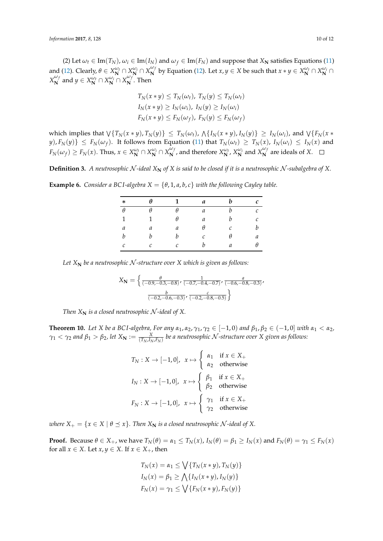(2) Let  $\omega_t \in \text{Im}(T_N)$ ,  $\omega_i \in \text{Im}(I_N)$  and  $\omega_f \in \text{Im}(F_N)$  and suppose that  $X_N$  satisfies Equations [\(11\)](#page-8-0) and [\(12\)](#page-8-1). Clearly,  $\theta \in X_N^{\omega_t} \cap X_N^{\omega_i} \cap X_N^{\omega_j}$  $\mathbf{M}^{(M)}$  by Equation [\(12\)](#page-8-1). Let  $x, y \in X$  be such that  $x * y \in X_{\mathbf{N}}^{\omega_t} \cap X_{\mathbf{N}}^{\omega_t} \cap X_{\mathbf{N}}^{\omega_t}$ *X ωf*  $\mathbf{X}_{\mathbf{N}}^{\omega_f}$  and  $y \in X_{\mathbf{N}}^{\omega_f} \cap X_{\mathbf{N}}^{\omega_f} \cap X_{\mathbf{N}}^{\omega_f}$  $\mathbf{N}^{\prime}$ . Then

$$
T_N(x * y) \le T_N(\omega_t), T_N(y) \le T_N(\omega_t)
$$
  
\n
$$
I_N(x * y) \ge I_N(\omega_t), I_N(y) \ge I_N(\omega_t)
$$
  
\n
$$
F_N(x * y) \le F_N(\omega_f), F_N(y) \le F_N(\omega_f)
$$

which implies that  $\forall \{T_N(x*y),T_N(y)\}\leq T_N(\omega_t)$ ,  $\wedge \{I_N(x*y),I_N(y)\}\geq I_N(\omega_i)$ , and  $\vee \{F_N(x*\})$  $\{y\},F_N(y)\}\leq F_N(\omega_f).$  It follows from Equation [\(11\)](#page-8-0) that  $T_N(\omega_t)\,\geq\, T_N(x)$ ,  $I_N(\omega_i)\,\leq\, I_N(x)$  and  $F_N(\omega_f) \ge F_N(x)$ . Thus,  $x \in X_N^{\omega_f} \cap X_N^{\omega_f} \cap X_N^{\omega_f}$  $\frac{\omega_f}{N}$ , and therefore  $X_N^{\omega_t}$ ,  $X_N^{\omega_i}$  and  $X_N^{\omega_f}$  $\sum_{N}^{T}$  are ideals of *X*.

**Definition 3.** A neutrosophic N-ideal  $X_N$  of X is said to be closed if it is a neutrosophic N-subalgebra of X.

**Example 6.** *Consider a BCI-algebra*  $X = \{\theta, 1, a, b, c\}$  *with the following Cayley table.* 

| $\ast$   | $\theta$ | $\mathbf{1}$  | a                | b             | c             |
|----------|----------|---------------|------------------|---------------|---------------|
| $\theta$ | $\theta$ | $\theta$      | $\mathfrak a$    | h             | $\mathcal{C}$ |
| 1        | 1        | θ             | $\boldsymbol{a}$ | h             | C             |
| a        | а        | а             | θ                | $\mathcal{C}$ | b             |
| b        | b        | b             | $\mathcal C$     | $\theta$      | а             |
| C        | C        | $\mathcal{C}$ | h                | а             | θ             |
|          |          |               |                  |               |               |

*Let X***<sup>N</sup>** *be a neutrosophic* N *-structure over X which is given as follows:*

$$
X_{\mathbf{N}} = \left\{ \frac{\theta}{(-0.9, -0.3, -0.8)}, \frac{1}{(-0.7, -0.4, -0.7)}, \frac{a}{(-0.6, -0.8, -0.3)}, \frac{b}{(-0.2, -0.6, -0.3)}, \frac{c}{(-0.2, -0.8, -0.5)} \right\}
$$

*Then*  $X_N$  *is a closed neutrosophic*  $N$ *-ideal of*  $X$ *.* 

**Theorem 10.** Let *X* be a BCI-algebra, For any  $α_1$ ,  $α_2$ ,  $γ_1$ ,  $γ_2 ∈ [−1,0)$  and  $β_1$ ,  $β_2 ∈ (−1,0]$  with  $α_1 < α_2$ ,  $\gamma_1<\gamma_2$  and  $\beta_1>\beta_2$ , let  $X_{\bf N}:=\frac{X}{(T_N,I_N,F_N)}$  be a neutrosophic  $\cal N$ -structure over  $X$  given as follows:

$$
T_N: X \to [-1,0], \quad x \mapsto \begin{cases} \alpha_1 & \text{if } x \in X_+ \\ \alpha_2 & \text{otherwise} \end{cases}
$$
\n
$$
I_N: X \to [-1,0], \quad x \mapsto \begin{cases} \beta_1 & \text{if } x \in X_+ \\ \beta_2 & \text{otherwise} \end{cases}
$$
\n
$$
F_N: X \to [-1,0], \quad x \mapsto \begin{cases} \gamma_1 & \text{if } x \in X_+ \\ \gamma_2 & \text{otherwise} \end{cases}
$$

*where*  $X_+ = \{x \in X \mid \theta \leq x\}$ . Then  $X_N$  *is a closed neutrosophic*  $N$ -ideal of X.

**Proof.** Because  $\theta \in X_+$ , we have  $T_N(\theta) = \alpha_1 \le T_N(x)$ ,  $I_N(\theta) = \beta_1 \ge I_N(x)$  and  $F_N(\theta) = \gamma_1 \le F_N(x)$ for all  $x \in X$ . Let  $x, y \in X$ . If  $x \in X_+$ , then

$$
T_N(x) = \alpha_1 \le \bigvee \{ T_N(x * y), T_N(y) \}
$$
  
\n
$$
I_N(x) = \beta_1 \ge \bigwedge \{ I_N(x * y), I_N(y) \}
$$
  
\n
$$
F_N(x) = \gamma_1 \le \bigvee \{ F_N(x * y), F_N(y) \}
$$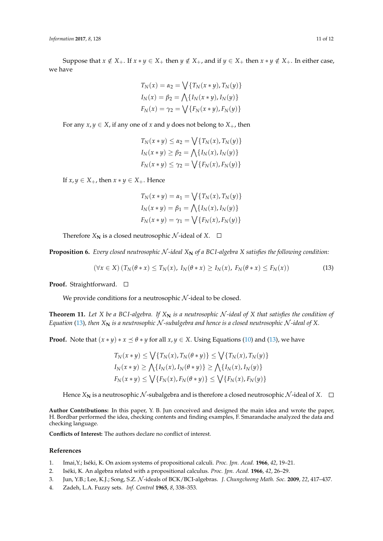Suppose that  $x \notin X_+$ . If  $x * y \in X_+$  then  $y \notin X_+$ , and if  $y \in X_+$  then  $x * y \notin X_+$ . In either case, we have

$$
T_N(x) = \alpha_2 = \bigvee \{ T_N(x * y), T_N(y) \}
$$
  
\n
$$
I_N(x) = \beta_2 = \bigwedge \{ I_N(x * y), I_N(y) \}
$$
  
\n
$$
F_N(x) = \gamma_2 = \bigvee \{ F_N(x * y), F_N(y) \}
$$

For any  $x, y \in X$ , if any one of  $x$  and  $y$  does not belong to  $X_+$ , then

$$
T_N(x * y) \le \alpha_2 = \bigvee \{ T_N(x), T_N(y) \}
$$
  
\n
$$
I_N(x * y) \ge \beta_2 = \bigwedge \{ I_N(x), I_N(y) \}
$$
  
\n
$$
F_N(x * y) \le \gamma_2 = \bigvee \{ F_N(x), F_N(y) \}
$$

If  $x, y \in X_+$ , then  $x * y \in X_+$ . Hence

<span id="page-10-4"></span>
$$
T_N(x * y) = \alpha_1 = \bigvee \{T_N(x), T_N(y)\}
$$
  

$$
I_N(x * y) = \beta_1 = \bigwedge \{I_N(x), I_N(y)\}
$$
  

$$
F_N(x * y) = \gamma_1 = \bigvee \{F_N(x), F_N(y)\}
$$

Therefore  $X_N$  is a closed neutrosophic  $N$ -ideal of  $X$ .  $\Box$ 

**Proposition 6.** *Every closed neutrosophic* N-ideal X<sub>N</sub> of a BCI-algebra X satisfies the following condition:

$$
(\forall x \in X) (T_N(\theta * x) \le T_N(x), I_N(\theta * x) \ge I_N(x), F_N(\theta * x) \le F_N(x))
$$
\n(13)

**Proof.** Straightforward. □

We provide conditions for a neutrosophic  $N$ -ideal to be closed.

**Theorem 11.** Let *X* be a BCI-algebra. If  $X_N$  is a neutrosophic N-ideal of *X* that satisfies the condition of *Equation* [\(13\)](#page-10-4), then  $X_N$  *is a neutrosophic*  $N$ -subalgebra and hence *is a closed neutrosophic*  $N$ -ideal of X.

**Proof.** Note that  $(x * y) * x \le \theta * y$  for all  $x, y \in X$ . Using Equations [\(10\)](#page-6-1) and [\(13\)](#page-10-4), we have

$$
T_N(x * y) \le \bigvee \{T_N(x), T_N(\theta * y)\} \le \bigvee \{T_N(x), T_N(y)\}
$$
  
\n
$$
I_N(x * y) \ge \bigwedge \{I_N(x), I_N(\theta * y)\} \ge \bigwedge \{I_N(x), I_N(y)\}
$$
  
\n
$$
F_N(x * y) \le \bigvee \{F_N(x), F_N(\theta * y)\} \le \bigvee \{F_N(x), F_N(y)\}
$$

Hence  $X_N$  is a neutrosophic  $N$ -subalgebra and is therefore a closed neutrosophic  $N$ -ideal of  $X$ .  $\Box$ 

**Author Contributions:** In this paper, Y. B. Jun conceived and designed the main idea and wrote the paper, H. Bordbar performed the idea, checking contents and finding examples, F. Smarandache analyzed the data and checking language.

**Conflicts of Interest:** The authors declare no conflict of interest.

#### **References**

- <span id="page-10-0"></span>1. Imai,Y.; Iséki, K. On axiom systems of propositional calculi. *Proc. Jpn. Acad.* **1966**, *42*, 19–21.
- <span id="page-10-1"></span>2. Iséki, K. An algebra related with a propositional calculus. *Proc. Jpn. Acad.* **1966**, *42*, 26–29.
- <span id="page-10-2"></span>3. Jun, Y.B.; Lee, K.J.; Song, S.Z. N -ideals of BCK/BCI-algebras. *J. Chungcheong Math. Soc.* **2009**, *22*, 417–437.
- <span id="page-10-3"></span>4. Zadeh, L.A. Fuzzy sets. *Inf. Control* **1965**, *8*, 338–353.